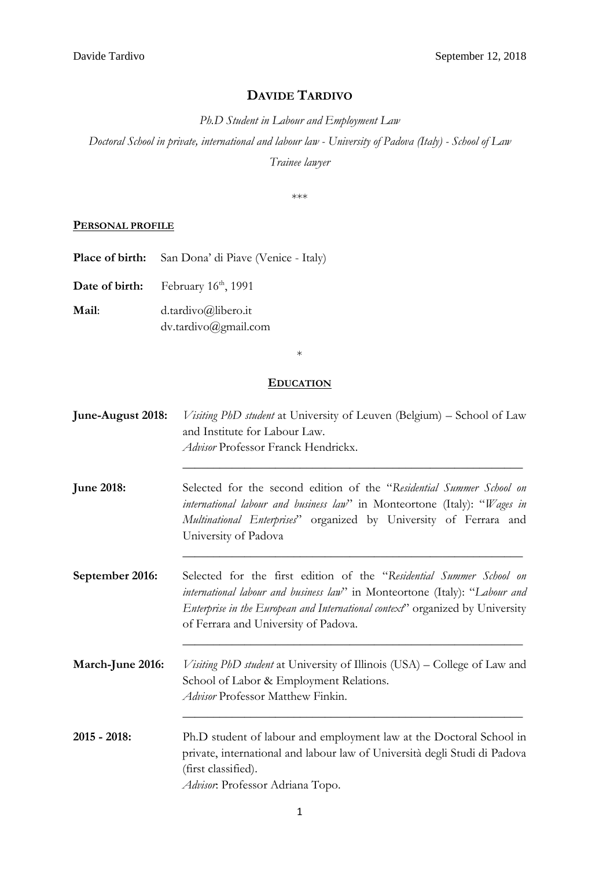# **DAVIDE TARDIVO**

*Ph.D Student in Labour and Employment Law*

*Doctoral School in private, international and labour law - University of Padova (Italy) - School of Law Trainee lawyer*

\*\*\*

### **PERSONAL PROFILE**

Place of birth: San Dona' di Piave (Venice - Italy)

Date of birth: February 16<sup>th</sup>, 1991

**Mail**: d.tardivo@libero.it dv.tardivo@gmail.com

\*

### **EDUCATION**

**June-August 2018:** *Visiting PhD student* at University of Leuven (Belgium) – School of Law and Institute for Labour Law. *Advisor* Professor Franck Hendrickx. **\_\_\_\_\_\_\_\_\_\_\_\_\_\_\_\_\_\_\_\_\_\_\_\_\_\_\_\_\_\_\_\_\_\_\_\_\_\_\_\_\_\_\_\_\_\_\_\_\_\_\_\_\_\_\_ June 2018:** Selected for the second edition of the "*Residential Summer School on international labour and business law*" in Monteortone (Italy): "*Wages in Multinational Enterprises*" organized by University of Ferrara and University of Padova **\_\_\_\_\_\_\_\_\_\_\_\_\_\_\_\_\_\_\_\_\_\_\_\_\_\_\_\_\_\_\_\_\_\_\_\_\_\_\_\_\_\_\_\_\_\_\_\_\_\_\_\_\_\_\_ September 2016:** Selected for the first edition of the "*Residential Summer School on international labour and business law*" in Monteortone (Italy): "*Labour and Enterprise in the European and International context*" organized by University of Ferrara and University of Padova. **\_\_\_\_\_\_\_\_\_\_\_\_\_\_\_\_\_\_\_\_\_\_\_\_\_\_\_\_\_\_\_\_\_\_\_\_\_\_\_\_\_\_\_\_\_\_\_\_\_\_\_\_\_\_\_ March-June 2016:** *Visiting PhD student* at University of Illinois (USA) – College of Law and School of Labor & Employment Relations.

**2015 - 2018:** Ph.D student of labour and employment law at the Doctoral School in private, international and labour law of Università degli Studi di Padova (first classified). *Advisor*: Professor Adriana Topo.

**\_\_\_\_\_\_\_\_\_\_\_\_\_\_\_\_\_\_\_\_\_\_\_\_\_\_\_\_\_\_\_\_\_\_\_\_\_\_\_\_\_\_\_\_\_\_\_\_\_\_\_\_\_\_\_**

*Advisor* Professor Matthew Finkin.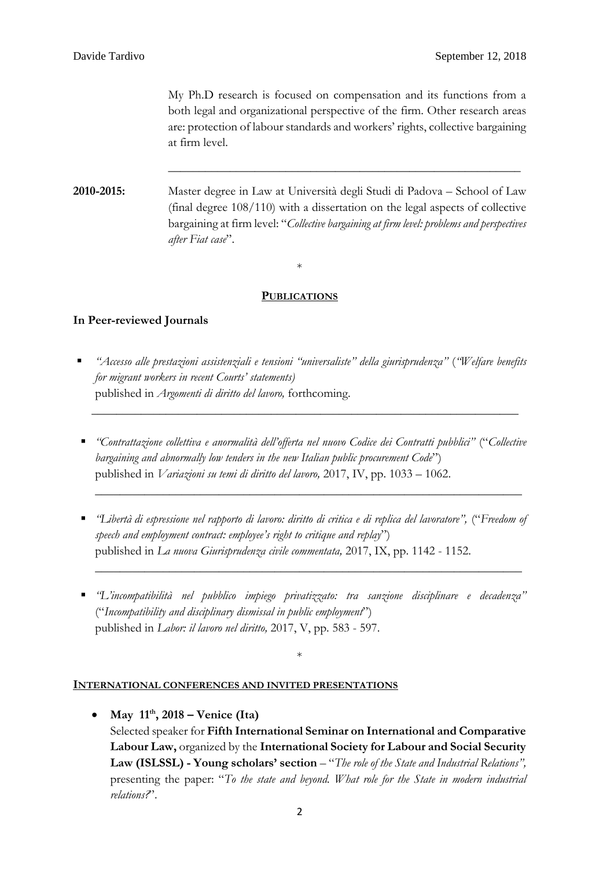My Ph.D research is focused on compensation and its functions from a both legal and organizational perspective of the firm. Other research areas are: protection of labour standards and workers' rights, collective bargaining at firm level.

**\_\_\_\_\_\_\_\_\_\_\_\_\_\_\_\_\_\_\_\_\_\_\_\_\_\_\_\_\_\_\_\_\_\_\_\_\_\_\_\_\_\_\_\_\_\_\_\_\_\_\_\_\_\_\_\_\_**

**2010-2015:** Master degree in Law at Università degli Studi di Padova – School of Law (final degree 108/110) with a dissertation on the legal aspects of collective bargaining at firm level: "*Collective bargaining at firm level: problems and perspectives after Fiat case*".

\*

## **PUBLICATIONS**

# **In Peer-reviewed Journals**

 *"Accesso alle prestazioni assistenziali e tensioni "universaliste" della giurisprudenza"* (*"Welfare benefits for migrant workers in recent Courts' statements)* published in *Argomenti di diritto del lavoro,* forthcoming.

**\_\_\_\_\_\_\_\_\_\_\_\_\_\_\_\_\_\_\_\_\_\_\_\_\_\_\_\_\_\_\_\_\_\_\_\_\_\_\_\_\_\_\_\_\_\_\_\_\_\_\_\_\_\_\_\_\_\_\_\_\_\_\_\_\_\_\_\_\_**

 *"Contrattazione collettiva e anormalità dell'offerta nel nuovo Codice dei Contratti pubblici"* ("*Collective bargaining and abnormally low tenders in the new Italian public procurement Code*") published in *Variazioni su temi di diritto del lavoro,* 2017, IV, pp. 1033 – 1062.

**\_\_\_\_\_\_\_\_\_\_\_\_\_\_\_\_\_\_\_\_\_\_\_\_\_\_\_\_\_\_\_\_\_\_\_\_\_\_\_\_\_\_\_\_\_\_\_\_\_\_\_\_\_\_\_\_\_\_\_\_\_\_\_\_\_\_\_\_\_**

 *"Libertà di espressione nel rapporto di lavoro: diritto di critica e di replica del lavoratore",* ("*Freedom of speech and employment contract: employee's right to critique and replay*") published in *La nuova Giurisprudenza civile commentata,* 2017, IX, pp. 1142 - 1152.

**\_\_\_\_\_\_\_\_\_\_\_\_\_\_\_\_\_\_\_\_\_\_\_\_\_\_\_\_\_\_\_\_\_\_\_\_\_\_\_\_\_\_\_\_\_\_\_\_\_\_\_\_\_\_\_\_\_\_\_\_\_\_\_\_\_\_\_\_\_**

 *"L'incompatibilità nel pubblico impiego privatizzato: tra sanzione disciplinare e decadenza"* ("*Incompatibility and disciplinary dismissal in public employment*") published in *Labor: il lavoro nel diritto,* 2017, V, pp. 583 - 597.

\*

### **INTERNATIONAL CONFERENCES AND INVITED PRESENTATIONS**

 **May 11th , 2018 – Venice (Ita)** Selected speaker for **Fifth International Seminar on International and Comparative Labour Law,** organized by the **International Society for Labour and Social Security Law (ISLSSL) - Young scholars' section** – "*The role of the State and Industrial Relations",*  presenting the paper: "*To the state and beyond. What role for the State in modern industrial relations?*".